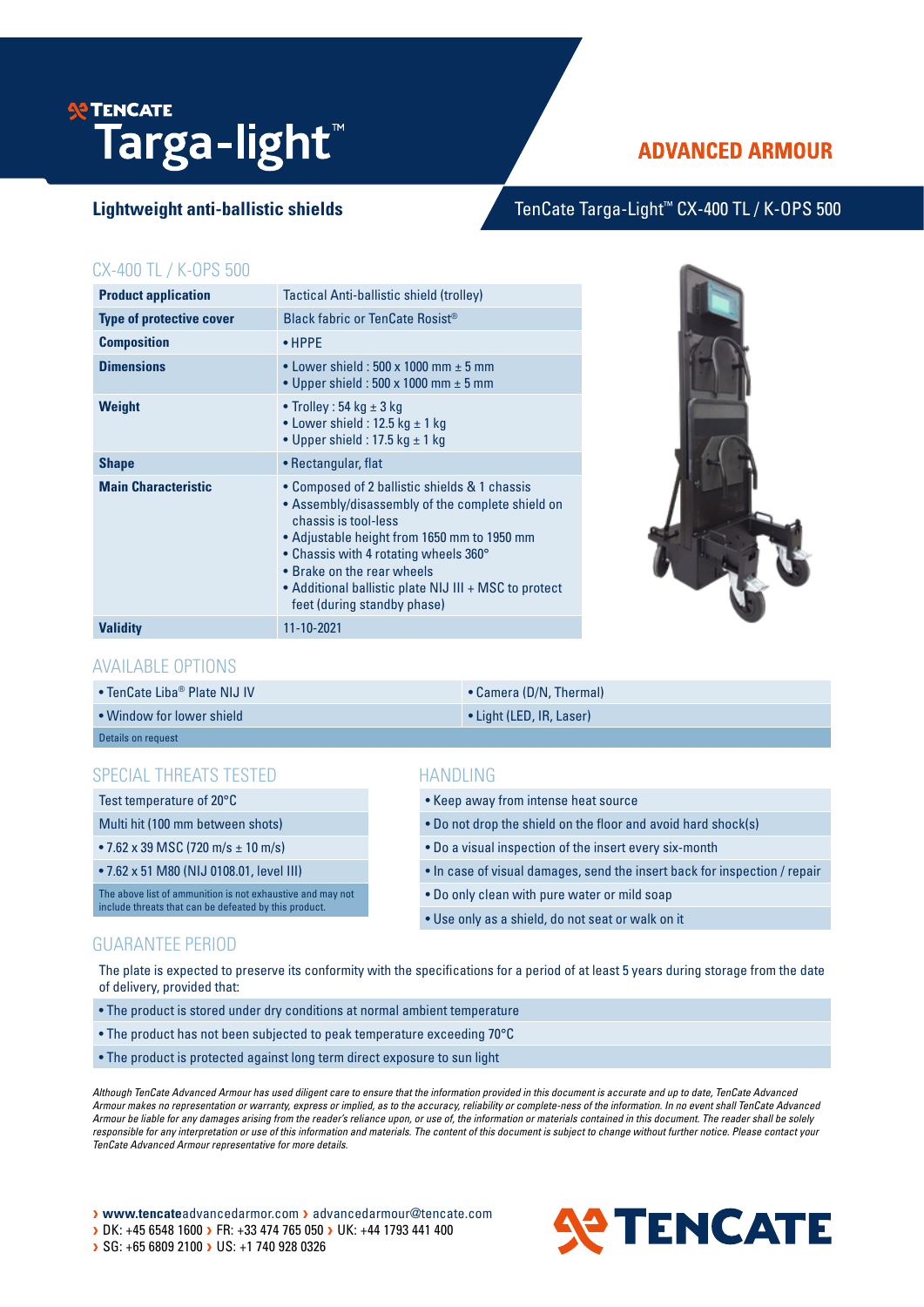# **SE TENCATE Targa-light**™

# **ADVANCED ARMOUR**

## Lightweight anti-ballistic shields TenCate Targa-Light<sup>™</sup> CX-400 TL / K-OPS 500

#### CX-400 TL / K-OPS 500

| <b>Product application</b>      | Tactical Anti-ballistic shield (trolley)                                                                                                                                                                                                                                                                                                |  |
|---------------------------------|-----------------------------------------------------------------------------------------------------------------------------------------------------------------------------------------------------------------------------------------------------------------------------------------------------------------------------------------|--|
| <b>Type of protective cover</b> | Black fabric or TenCate Rosist®                                                                                                                                                                                                                                                                                                         |  |
| <b>Composition</b>              | $\bullet$ HPPE                                                                                                                                                                                                                                                                                                                          |  |
| <b>Dimensions</b>               | • Lower shield: $500 \times 1000$ mm $\pm 5$ mm<br>• Upper shield: $500 \times 1000$ mm $\pm 5$ mm                                                                                                                                                                                                                                      |  |
| Weight                          | • Trolley : 54 kg $\pm$ 3 kg<br>• Lower shield : 12.5 kg $\pm$ 1 kg<br>• Upper shield : 17.5 kg $\pm$ 1 kg                                                                                                                                                                                                                              |  |
| <b>Shape</b>                    | • Rectangular, flat                                                                                                                                                                                                                                                                                                                     |  |
| <b>Main Characteristic</b>      | • Composed of 2 ballistic shields & 1 chassis<br>• Assembly/disassembly of the complete shield on<br>chassis is tool-less<br>• Adjustable height from 1650 mm to 1950 mm<br>• Chassis with 4 rotating wheels 360°<br>• Brake on the rear wheels<br>• Additional ballistic plate NIJ III + MSC to protect<br>feet (during standby phase) |  |
| <b>Validity</b>                 | 11-10-2021                                                                                                                                                                                                                                                                                                                              |  |



#### AVAILABLE OPTIONS

| • TenCate Liba® Plate NIJ IV | • Camera (D/N, Thermal)  |
|------------------------------|--------------------------|
| • Window for lower shield    | • Light (LED, IR, Laser) |
| Details on request           |                          |

### SPECIAL THREATS TESTED

Test temperature of 20°C

Multi hit (100 mm between shots)

• 7.62 x 39 MSC (720 m/s ± 10 m/s)

• 7.62 x 51 M80 (NIJ 0108.01, level III)

The above list of ammunition is not exhaustive and may not include threats that can be defeated by this product.

### **HANDLING**

- Keep away from intense heat source
- Do not drop the shield on the floor and avoid hard shock(s)
- Do a visual inspection of the insert every six-month
- In case of visual damages, send the insert back for inspection / repair
- Do only clean with pure water or mild soap
- Use only as a shield, do not seat or walk on it

#### GUARANTEE PERIOD

The plate is expected to preserve its conformity with the specifications for a period of at least 5 years during storage from the date of delivery, provided that:

- The product is stored under dry conditions at normal ambient temperature
- The product has not been subjected to peak temperature exceeding 70°C
- The product is protected against long term direct exposure to sun light

*Although TenCate Advanced Armour has used diligent care to ensure that the information provided in this document is accurate and up to date, TenCate Advanced Armour makes no representation or warranty, express or implied, as to the accuracy, reliability or complete-ness of the information. In no event shall TenCate Advanced Armour be liable for any damages arising from the reader's reliance upon, or use of, the information or materials contained in this document. The reader shall be solely*  responsible for any interpretation or use of this information and materials. The content of this document is subject to change without further notice. Please contact your *TenCate Advanced Armour representative for more details.*

> www.tencateadvancedarmor.com > advancedarmour@tencate.com > DK: +45 6548 1600 > FR: +33 474 765 050 > UK: +44 1793 441 400 SG: +65 6809 2100 > US: +1 740 928 0326